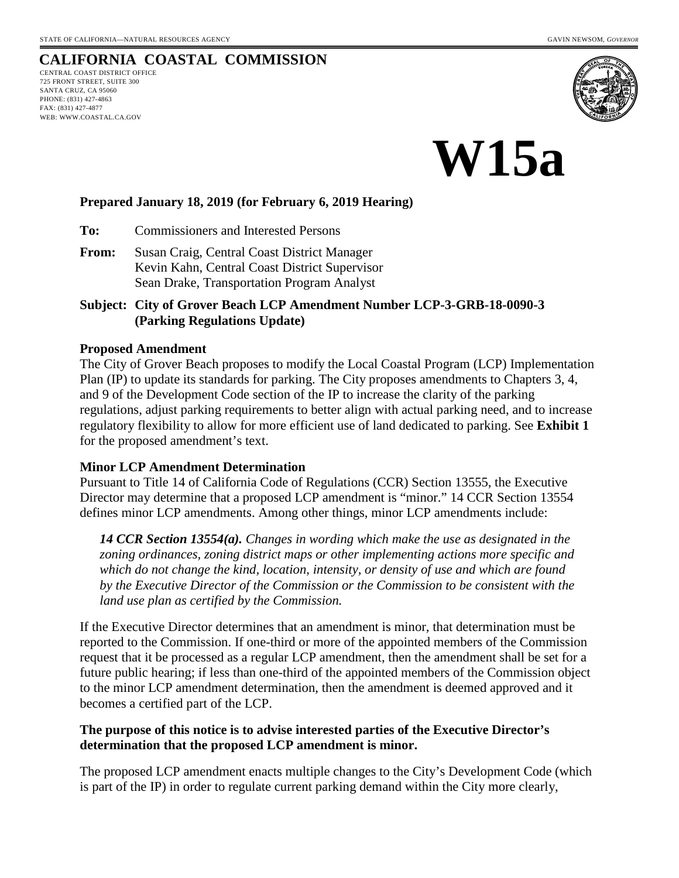# **CALIFORNIA COASTAL COMMISSION**

CENTRAL COAST DISTRICT OFFICE 725 FRONT STREET, SUITE 300 SANTA CRUZ, CA 95060 PHONE: (831) 427-4863 FAX: (831) 427-4877 WEB: WWW.COASTAL.CA.GOV



**W15a**

#### **Prepared January 18, 2019 (for February 6, 2019 Hearing)**

**To:** Commissioners and Interested Persons

**From:** Susan Craig, Central Coast District Manager Kevin Kahn, Central Coast District Supervisor Sean Drake, Transportation Program Analyst

**Subject: City of Grover Beach LCP Amendment Number LCP-3-GRB-18-0090-3 (Parking Regulations Update)** 

#### **Proposed Amendment**

The City of Grover Beach proposes to modify the Local Coastal Program (LCP) Implementation Plan (IP) to update its standards for parking. The City proposes amendments to Chapters 3, 4, and 9 of the Development Code section of the IP to increase the clarity of the parking regulations, adjust parking requirements to better align with actual parking need, and to increase regulatory flexibility to allow for more efficient use of land dedicated to parking. See **Exhibit 1** for the proposed amendment's text.

#### **Minor LCP Amendment Determination**

Pursuant to Title 14 of California Code of Regulations (CCR) Section 13555, the Executive Director may determine that a proposed LCP amendment is "minor." 14 CCR Section 13554 defines minor LCP amendments. Among other things, minor LCP amendments include:

*14 CCR Section 13554(a). Changes in wording which make the use as designated in the zoning ordinances, zoning district maps or other implementing actions more specific and which do not change the kind, location, intensity, or density of use and which are found by the Executive Director of the Commission or the Commission to be consistent with the land use plan as certified by the Commission.*

If the Executive Director determines that an amendment is minor, that determination must be reported to the Commission. If one-third or more of the appointed members of the Commission request that it be processed as a regular LCP amendment, then the amendment shall be set for a future public hearing; if less than one-third of the appointed members of the Commission object to the minor LCP amendment determination, then the amendment is deemed approved and it becomes a certified part of the LCP.

#### **The purpose of this notice is to advise interested parties of the Executive Director's determination that the proposed LCP amendment is minor.**

The proposed LCP amendment enacts multiple changes to the City's Development Code (which is part of the IP) in order to regulate current parking demand within the City more clearly,